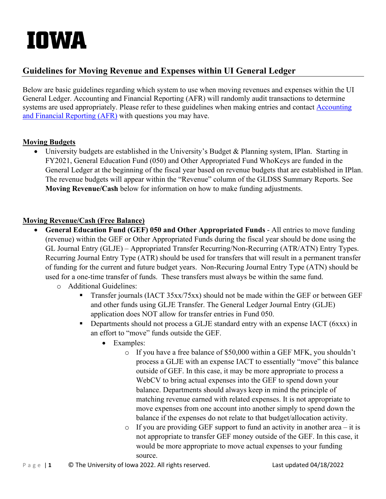# IOWA

## **Guidelines for Moving Revenue and Expenses within UI General Ledger**

Below are basic guidelines regarding which system to use when moving revenues and expenses within the UI General Ledger. Accounting and Financial Reporting (AFR) will randomly audit transactions to determine systems are used appropriately. Please refer to these guidelines when making entries and contact **Accounting** [and Financial Reporting \(AFR\)](https://afr.fo.uiowa.edu/contact-us) with questions you may have.

#### **Moving Budgets**

• University budgets are established in the University's Budget & Planning system, IPlan. Starting in FY2021, General Education Fund (050) and Other Appropriated Fund WhoKeys are funded in the General Ledger at the beginning of the fiscal year based on revenue budgets that are established in IPlan. The revenue budgets will appear within the "Revenue" column of the GLDSS Summary Reports. See **Moving Revenue/Cash** below for information on how to make funding adjustments.

#### **Moving Revenue/Cash (Free Balance)**

- **General Education Fund (GEF) 050 and Other Appropriated Funds** All entries to move funding (revenue) within the GEF or Other Appropriated Funds during the fiscal year should be done using the GL Journal Entry (GLJE) – Appropriated Transfer Recurring/Non-Recurring (ATR/ATN) Entry Types. Recurring Journal Entry Type (ATR) should be used for transfers that will result in a permanent transfer of funding for the current and future budget years. Non-Recuring Journal Entry Type (ATN) should be used for a one-time transfer of funds. These transfers must always be within the same fund.
	- o Additional Guidelines:
		- Transfer journals (IACT 35xx/75xx) should not be made within the GEF or between GEF and other funds using GLJE Transfer. The General Ledger Journal Entry (GLJE) application does NOT allow for transfer entries in Fund 050.
		- Departments should not process a GLJE standard entry with an expense IACT (6xxx) in an effort to "move" funds outside the GEF.
			- Examples:
				- o If you have a free balance of \$50,000 within a GEF MFK, you shouldn't process a GLJE with an expense IACT to essentially "move" this balance outside of GEF. In this case, it may be more appropriate to process a WebCV to bring actual expenses into the GEF to spend down your balance. Departments should always keep in mind the principle of matching revenue earned with related expenses. It is not appropriate to move expenses from one account into another simply to spend down the balance if the expenses do not relate to that budget/allocation activity.
				- $\circ$  If you are providing GEF support to fund an activity in another area it is not appropriate to transfer GEF money outside of the GEF. In this case, it would be more appropriate to move actual expenses to your funding source.
- Page | 1 C The University of Iowa 2022. All rights reserved. Last updated 04/18/2022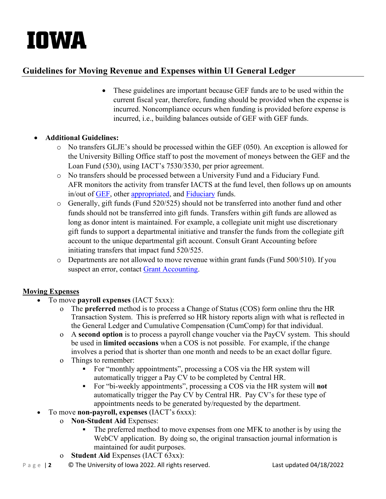# IOWA

## **Guidelines for Moving Revenue and Expenses within UI General Ledger**

• These guidelines are important because GEF funds are to be used within the current fiscal year, therefore, funding should be provided when the expense is incurred. Noncompliance occurs when funding is provided before expense is incurred, i.e., building balances outside of GEF with GEF funds.

#### • **Additional Guidelines:**

- $\circ$  No transfers GLJE's should be processed within the GEF (050). An exception is allowed for the University Billing Office staff to post the movement of moneys between the GEF and the Loan Fund (530), using IACT's 7530/3530, per prior agreement.
- o No transfers should be processed between a University Fund and a Fiduciary Fund. AFR monitors the activity from transfer IACTS at the fund level, then follows up on amounts in/out of [GEF,](https://finapps.bo.uiowa.edu/glaccman/introduction/fund/fund-index#fundgroup13) other [appropriated,](https://finapps.bo.uiowa.edu/glaccman/introduction/fund/fund-index#fundgroup19) and [Fiduciary](https://finapps.bo.uiowa.edu/glaccman/introduction/fund/fund-index#fundgroup6) funds.
- o Generally, gift funds (Fund 520/525) should not be transferred into another fund and other funds should not be transferred into gift funds. Transfers within gift funds are allowed as long as donor intent is maintained. For example, a collegiate unit might use discretionary gift funds to support a departmental initiative and transfer the funds from the collegiate gift account to the unique departmental gift account. Consult Grant Accounting before initiating transfers that impact fund 520/525.
- o Departments are not allowed to move revenue within grant funds (Fund 500/510). If you suspect an error, contact [Grant Accounting.](https://gao.fo.uiowa.edu/contact-us)

### **Moving Expenses**

- To move **payroll expenses** (IACT 5xxx):
	- o The **preferred** method is to process a Change of Status (COS) form online thru the HR Transaction System. This is preferred so HR history reports align with what is reflected in the General Ledger and Cumulative Compensation (CumComp) for that individual.
	- o A **second option** is to process a payroll change voucher via the [PayCV](https://apps.bo.uiowa.edu/paycv/documents/guidelines.cfm) system. This should be used in **limited occasions** when a COS is not possible. For example, if the change involves a period that is shorter than one month and needs to be an exact dollar figure.
	- o Things to remember:
		- For "monthly appointments", processing a COS via the HR system will automatically trigger a Pay CV to be completed by Central HR.
		- For "bi-weekly appointments", processing a COS via the HR system will **not** automatically trigger the Pay CV by Central HR. Pay CV's for these type of appointments needs to be generated by/requested by the department.
- To move **non-payroll, expenses** (IACT's 6xxx):
	- o **Non-Student Aid** Expenses:
		- The preferred method to move expenses from one MFK to another is by using the WebCV application. By doing so, the original transaction journal information is maintained for audit purposes.
	- o **Student Aid** Expenses (IACT 63xx):
- Page | 2 C The University of Iowa 2022. All rights reserved. Last updated 04/18/2022